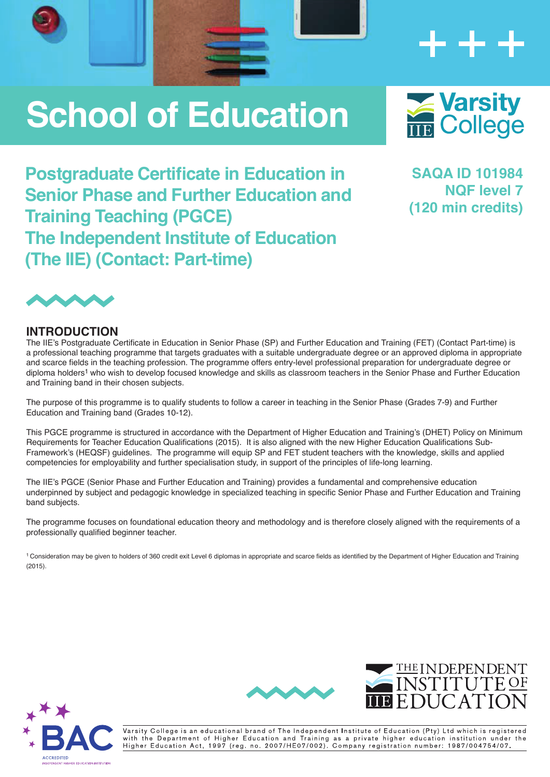# **School of Education**



- - -

**Postgraduate Certificate in Education in Senior Phase and Further Education and Training Teaching (PGCE) The Independent Institute of Education (The IIE) (Contact: Part-time)**

**SAQA ID 101984 NQF level 7 (120 min credits)**



## **INTRODUCTION**

The IIE's Postgraduate Certificate in Education in Senior Phase (SP) and Further Education and Training (FET) (Contact Part-time) is a professional teaching programme that targets graduates with a suitable undergraduate degree or an approved diploma in appropriate and scarce fields in the teaching profession. The programme offers entry-level professional preparation for undergraduate degree or diploma holders1 who wish to develop focused knowledge and skills as classroom teachers in the Senior Phase and Further Education and Training band in their chosen subjects.

The purpose of this programme is to qualify students to follow a career in teaching in the Senior Phase (Grades 7-9) and Further Education and Training band (Grades 10-12).

This PGCE programme is structured in accordance with the Department of Higher Education and Training's (DHET) Policy on Minimum Requirements for Teacher Education Qualifications (2015). It is also aligned with the new Higher Education Qualifications Sub-Framework's (HEQSF) guidelines. The programme will equip SP and FET student teachers with the knowledge, skills and applied competencies for employability and further specialisation study, in support of the principles of life-long learning.

The IIE's PGCE (Senior Phase and Further Education and Training) provides a fundamental and comprehensive education underpinned by subject and pedagogic knowledge in specialized teaching in specific Senior Phase and Further Education and Training band subjects.

The programme focuses on foundational education theory and methodology and is therefore closely aligned with the requirements of a professionally qualified beginner teacher.

<sup>1</sup>Consideration may be given to holders of 360 credit exit Level 6 diplomas in appropriate and scarce fields as identified by the Department of Higher Education and Training  $(2015)$ 





.<br>Varsity College is an educational brand of The Independent Institute of Education (Pty) Ltd which is registered value the Department of Higher Education and Training as a private bigher education institution under the<br>Higher Education Act, 1997 (reg. no. 2007/HE07/002). Company registration number: 1987/004754/07.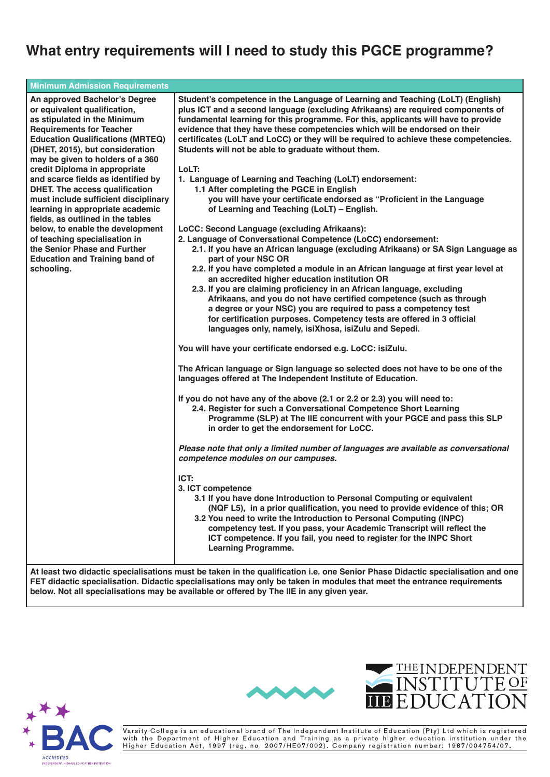## **What entry requirements will I need to study this PGCE programme?**

| <b>Minimum Admission Requirements</b>                                                                                                                                                                                                                                                                                                                                                                                                                                                                                                                                                                                                           |                                                                                                                                                                                                                                                                                                                                                                                                                                                                                                                                                                                                                                                                                                                                                                                                                                                                                                                                                                                                                                                                                                                                                                                                                                                                                                                                                                                                                                                                                                                                                                                                                                                                                                                                                                                                                                                                                                                                                                                                                                                                                                                                                                                                                                                                                                                                                                                                                                                                                                                                  |
|-------------------------------------------------------------------------------------------------------------------------------------------------------------------------------------------------------------------------------------------------------------------------------------------------------------------------------------------------------------------------------------------------------------------------------------------------------------------------------------------------------------------------------------------------------------------------------------------------------------------------------------------------|----------------------------------------------------------------------------------------------------------------------------------------------------------------------------------------------------------------------------------------------------------------------------------------------------------------------------------------------------------------------------------------------------------------------------------------------------------------------------------------------------------------------------------------------------------------------------------------------------------------------------------------------------------------------------------------------------------------------------------------------------------------------------------------------------------------------------------------------------------------------------------------------------------------------------------------------------------------------------------------------------------------------------------------------------------------------------------------------------------------------------------------------------------------------------------------------------------------------------------------------------------------------------------------------------------------------------------------------------------------------------------------------------------------------------------------------------------------------------------------------------------------------------------------------------------------------------------------------------------------------------------------------------------------------------------------------------------------------------------------------------------------------------------------------------------------------------------------------------------------------------------------------------------------------------------------------------------------------------------------------------------------------------------------------------------------------------------------------------------------------------------------------------------------------------------------------------------------------------------------------------------------------------------------------------------------------------------------------------------------------------------------------------------------------------------------------------------------------------------------------------------------------------------|
| An approved Bachelor's Degree<br>or equivalent qualification,<br>as stipulated in the Minimum<br><b>Requirements for Teacher</b><br><b>Education Qualifications (MRTEQ)</b><br>(DHET, 2015), but consideration<br>may be given to holders of a 360<br>credit Diploma in appropriate<br>and scarce fields as identified by<br><b>DHET. The access qualification</b><br>must include sufficient disciplinary<br>learning in appropriate academic<br>fields, as outlined in the tables<br>below, to enable the development<br>of teaching specialisation in<br>the Senior Phase and Further<br><b>Education and Training band of</b><br>schooling. | Student's competence in the Language of Learning and Teaching (LoLT) (English)<br>plus ICT and a second language (excluding Afrikaans) are required components of<br>fundamental learning for this programme. For this, applicants will have to provide<br>evidence that they have these competencies which will be endorsed on their<br>certificates (LoLT and LoCC) or they will be required to achieve these competencies.<br>Students will not be able to graduate without them.<br>LoLT:<br>1. Language of Learning and Teaching (LoLT) endorsement:<br>1.1 After completing the PGCE in English<br>you will have your certificate endorsed as "Proficient in the Language<br>of Learning and Teaching (LoLT) - English.<br>LoCC: Second Language (excluding Afrikaans):<br>2. Language of Conversational Competence (LoCC) endorsement:<br>2.1. If you have an African language (excluding Afrikaans) or SA Sign Language as<br>part of your NSC OR<br>2.2. If you have completed a module in an African language at first year level at<br>an accredited higher education institution OR<br>2.3. If you are claiming proficiency in an African language, excluding<br>Afrikaans, and you do not have certified competence (such as through<br>a degree or your NSC) you are required to pass a competency test<br>for certification purposes. Competency tests are offered in 3 official<br>languages only, namely, isiXhosa, isiZulu and Sepedi.<br>You will have your certificate endorsed e.g. LoCC: isiZulu.<br>The African language or Sign language so selected does not have to be one of the<br>languages offered at The Independent Institute of Education.<br>If you do not have any of the above (2.1 or 2.2 or 2.3) you will need to:<br>2.4. Register for such a Conversational Competence Short Learning<br>Programme (SLP) at The IIE concurrent with your PGCE and pass this SLP<br>in order to get the endorsement for LoCC.<br>Please note that only a limited number of languages are available as conversational<br>competence modules on our campuses.<br>ICT:<br>3. ICT competence<br>3.1 If you have done Introduction to Personal Computing or equivalent<br>(NQF L5), in a prior qualification, you need to provide evidence of this; OR<br>3.2 You need to write the Introduction to Personal Computing (INPC)<br>competency test. If you pass, your Academic Transcript will reflect the<br>ICT competence. If you fail, you need to register for the INPC Short<br><b>Learning Programme.</b> |
|                                                                                                                                                                                                                                                                                                                                                                                                                                                                                                                                                                                                                                                 | At least two didactic specialisations must be taken in the qualification i.e. one Senior Phase Didactic specialisation and one<br>FET didactic specialisation. Didactic specialisations may only be taken in modules that meet the entrance requirements                                                                                                                                                                                                                                                                                                                                                                                                                                                                                                                                                                                                                                                                                                                                                                                                                                                                                                                                                                                                                                                                                                                                                                                                                                                                                                                                                                                                                                                                                                                                                                                                                                                                                                                                                                                                                                                                                                                                                                                                                                                                                                                                                                                                                                                                         |

**below. Not all specialisations may be available or offered by The IIE in any given year.**



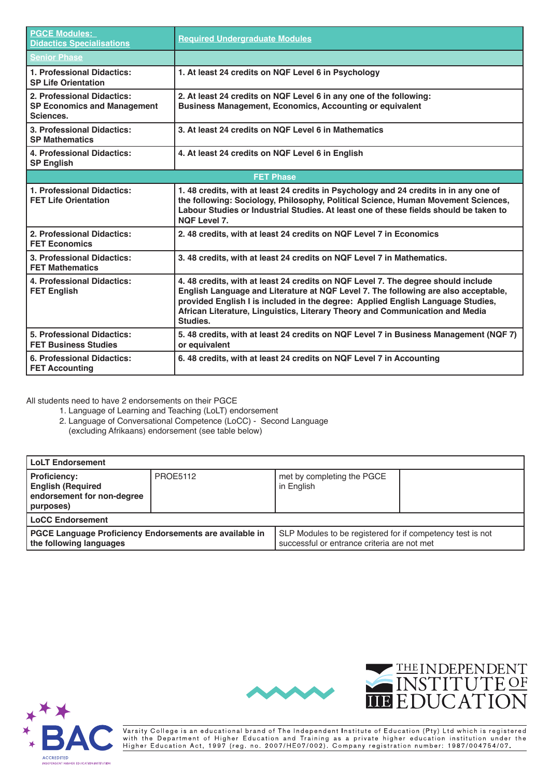| <b>PGCE Modules:</b><br><b>Didactics Specialisations</b>                      | <b>Required Undergraduate Modules</b>                                                                                                                                                                                                                                                                                                                 |  |  |  |
|-------------------------------------------------------------------------------|-------------------------------------------------------------------------------------------------------------------------------------------------------------------------------------------------------------------------------------------------------------------------------------------------------------------------------------------------------|--|--|--|
| <b>Senior Phase</b>                                                           |                                                                                                                                                                                                                                                                                                                                                       |  |  |  |
| 1. Professional Didactics:<br><b>SP Life Orientation</b>                      | 1. At least 24 credits on NQF Level 6 in Psychology                                                                                                                                                                                                                                                                                                   |  |  |  |
| 2. Professional Didactics:<br><b>SP Economics and Management</b><br>Sciences. | 2. At least 24 credits on NQF Level 6 in any one of the following:<br>Business Management, Economics, Accounting or equivalent                                                                                                                                                                                                                        |  |  |  |
| 3. Professional Didactics:<br><b>SP Mathematics</b>                           | 3. At least 24 credits on NOF Level 6 in Mathematics                                                                                                                                                                                                                                                                                                  |  |  |  |
| 4. Professional Didactics:<br><b>SP English</b>                               | 4. At least 24 credits on NQF Level 6 in English                                                                                                                                                                                                                                                                                                      |  |  |  |
| <b>FET Phase</b>                                                              |                                                                                                                                                                                                                                                                                                                                                       |  |  |  |
| 1. Professional Didactics:<br><b>FET Life Orientation</b>                     | 1.48 credits, with at least 24 credits in Psychology and 24 credits in in any one of<br>the following: Sociology, Philosophy, Political Science, Human Movement Sciences,<br>Labour Studies or Industrial Studies. At least one of these fields should be taken to<br><b>NQF Level 7.</b>                                                             |  |  |  |
| 2. Professional Didactics:<br><b>FET Economics</b>                            | 2.48 credits, with at least 24 credits on NQF Level 7 in Economics                                                                                                                                                                                                                                                                                    |  |  |  |
| 3. Professional Didactics:<br><b>FET Mathematics</b>                          | 3.48 credits, with at least 24 credits on NQF Level 7 in Mathematics.                                                                                                                                                                                                                                                                                 |  |  |  |
| 4. Professional Didactics:<br><b>FET English</b>                              | 4.48 credits, with at least 24 credits on NQF Level 7. The degree should include<br>English Language and Literature at NQF Level 7. The following are also acceptable,<br>provided English I is included in the degree: Applied English Language Studies,<br>African Literature, Linguistics, Literary Theory and Communication and Media<br>Studies. |  |  |  |
| 5. Professional Didactics:<br><b>FET Business Studies</b>                     | 5.48 credits, with at least 24 credits on NQF Level 7 in Business Management (NQF 7)<br>or equivalent                                                                                                                                                                                                                                                 |  |  |  |
| 6. Professional Didactics:<br><b>FET Accounting</b>                           | 6.48 credits, with at least 24 credits on NQF Level 7 in Accounting                                                                                                                                                                                                                                                                                   |  |  |  |

All students need to have 2 endorsements on their PGCE

1. Language of Learning and Teaching (LoLT) endorsement

2. Language of Conversational Competence (LoCC) - Second Language (excluding Afrikaans) endorsement (see table below)

| l LoLT Endorsement                                                                         |                 |                                                                                                           |  |  |
|--------------------------------------------------------------------------------------------|-----------------|-----------------------------------------------------------------------------------------------------------|--|--|
| <b>Proficiency:</b><br><b>English (Required</b><br>endorsement for non-degree<br>purposes) | <b>PROE5112</b> | met by completing the PGCE<br>in English                                                                  |  |  |
| <b>LoCC Endorsement</b>                                                                    |                 |                                                                                                           |  |  |
| <b>PGCE Language Proficiency Endorsements are available in</b><br>the following languages  |                 | SLP Modules to be registered for if competency test is not<br>successful or entrance criteria are not met |  |  |



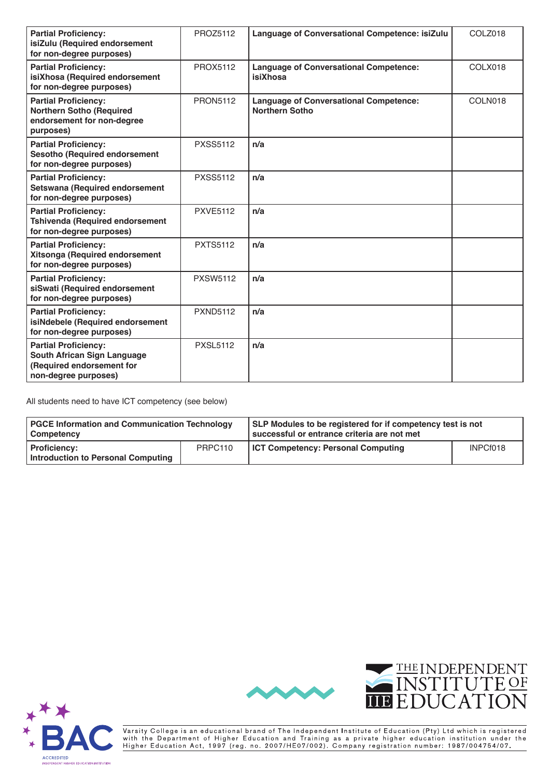| <b>Partial Proficiency:</b><br>isiZulu (Required endorsement<br>for non-degree purposes)                        | <b>PROZ5112</b> | Language of Conversational Competence: isiZulu                         | COLZ018 |
|-----------------------------------------------------------------------------------------------------------------|-----------------|------------------------------------------------------------------------|---------|
| <b>Partial Proficiency:</b><br>isiXhosa (Required endorsement<br>for non-degree purposes)                       | <b>PROX5112</b> | <b>Language of Conversational Competence:</b><br>isiXhosa              | COLX018 |
| <b>Partial Proficiency:</b><br><b>Northern Sotho (Required</b><br>endorsement for non-degree<br>purposes)       | <b>PRON5112</b> | <b>Language of Conversational Competence:</b><br><b>Northern Sotho</b> | COLN018 |
| <b>Partial Proficiency:</b><br><b>Sesotho (Required endorsement</b><br>for non-degree purposes)                 | <b>PXSS5112</b> | n/a                                                                    |         |
| <b>Partial Proficiency:</b><br>Setswana (Required endorsement<br>for non-degree purposes)                       | <b>PXSS5112</b> | n/a                                                                    |         |
| <b>Partial Proficiency:</b><br><b>Tshivenda (Required endorsement</b><br>for non-degree purposes)               | <b>PXVE5112</b> | n/a                                                                    |         |
| <b>Partial Proficiency:</b><br>Xitsonga (Required endorsement<br>for non-degree purposes)                       | <b>PXTS5112</b> | n/a                                                                    |         |
| <b>Partial Proficiency:</b><br>siSwati (Required endorsement<br>for non-degree purposes)                        | <b>PXSW5112</b> | n/a                                                                    |         |
| <b>Partial Proficiency:</b><br>isiNdebele (Required endorsement<br>for non-degree purposes)                     | <b>PXND5112</b> | n/a                                                                    |         |
| <b>Partial Proficiency:</b><br>South African Sign Language<br>(Required endorsement for<br>non-degree purposes) | <b>PXSL5112</b> | n/a                                                                    |         |

All students need to have ICT competency (see below)

| <b>PGCE Information and Communication Technology</b>      |         | SLP Modules to be registered for if competency test is not |          |
|-----------------------------------------------------------|---------|------------------------------------------------------------|----------|
| Competency                                                |         | successful or entrance criteria are not met                |          |
| <b>Proficiency:</b><br>Introduction to Personal Computing | PRPC110 | <b>ICT Competency: Personal Computing</b>                  | INPCf018 |



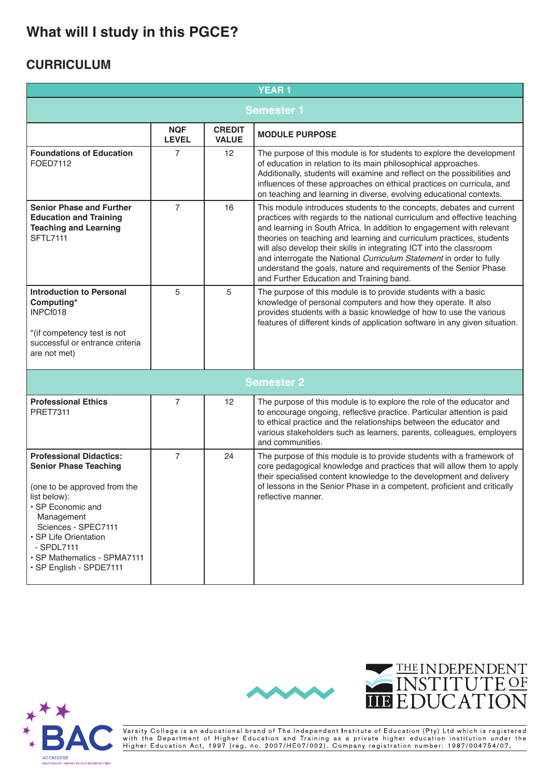# **What will I study in this PGCE?**

## **CURRICULUM**

| <b>YEAR1</b>                                                                                                                                                                                                                                                              |                            |                               |                                                                                                                                                                                                                                                                                                                                                                                                                                                                                                                                                                   |  |
|---------------------------------------------------------------------------------------------------------------------------------------------------------------------------------------------------------------------------------------------------------------------------|----------------------------|-------------------------------|-------------------------------------------------------------------------------------------------------------------------------------------------------------------------------------------------------------------------------------------------------------------------------------------------------------------------------------------------------------------------------------------------------------------------------------------------------------------------------------------------------------------------------------------------------------------|--|
| <b>Semester 1</b>                                                                                                                                                                                                                                                         |                            |                               |                                                                                                                                                                                                                                                                                                                                                                                                                                                                                                                                                                   |  |
|                                                                                                                                                                                                                                                                           | <b>NQF</b><br><b>LEVEL</b> | <b>CREDIT</b><br><b>VALUE</b> | <b>MODULE PURPOSE</b>                                                                                                                                                                                                                                                                                                                                                                                                                                                                                                                                             |  |
| <b>Foundations of Education</b><br>FOED7112                                                                                                                                                                                                                               | 7                          | 12                            | The purpose of this module is for students to explore the development<br>of education in relation to its main philosophical approaches.<br>Additionally, students will examine and reflect on the possibilities and<br>influences of these approaches on ethical practices on curricula, and<br>on teaching and learning in diverse, evolving educational contexts.                                                                                                                                                                                               |  |
| <b>Senior Phase and Further</b><br><b>Education and Training</b><br><b>Teaching and Learning</b><br><b>SFTL7111</b>                                                                                                                                                       | $\overline{7}$             | 16                            | This module introduces students to the concepts, debates and current<br>practices with regards to the national curriculum and effective teaching<br>and learning in South Africa. In addition to engagement with relevant<br>theories on teaching and learning and curriculum practices, students<br>will also develop their skills in integrating ICT into the classroom<br>and interrogate the National Curriculum Statement in order to fully<br>understand the goals, nature and requirements of the Senior Phase<br>and Further Education and Training band. |  |
| <b>Introduction to Personal</b><br>Computing*<br>INPCf018<br>*(if competency test is not<br>successful or entrance criteria<br>are not met)                                                                                                                               | 5                          | 5                             | The purpose of this module is to provide students with a basic<br>knowledge of personal computers and how they operate. It also<br>provides students with a basic knowledge of how to use the various<br>features of different kinds of application software in any given situation.                                                                                                                                                                                                                                                                              |  |
|                                                                                                                                                                                                                                                                           | <b>Semester 2</b>          |                               |                                                                                                                                                                                                                                                                                                                                                                                                                                                                                                                                                                   |  |
| <b>Professional Ethics</b><br><b>PRET7311</b>                                                                                                                                                                                                                             | 7                          | 12                            | The purpose of this module is to explore the role of the educator and<br>to encourage ongoing, reflective practice. Particular attention is paid<br>to ethical practice and the relationships between the educator and<br>various stakeholders such as learners, parents, colleagues, employers<br>and communities.                                                                                                                                                                                                                                               |  |
| <b>Professional Didactics:</b><br><b>Senior Phase Teaching</b><br>(one to be approved from the<br>list below):<br>• SP Economic and<br>Management<br>Sciences - SPEC7111<br>· SP Life Orientation<br>- SPDL7111<br>· SP Mathematics - SPMA7111<br>· SP English - SPDE7111 | $\overline{7}$             | 24                            | The purpose of this module is to provide students with a framework of<br>core pedagogical knowledge and practices that will allow them to apply<br>their specialised content knowledge to the development and delivery<br>of lessons in the Senior Phase in a competent, proficient and critically<br>reflective manner.                                                                                                                                                                                                                                          |  |



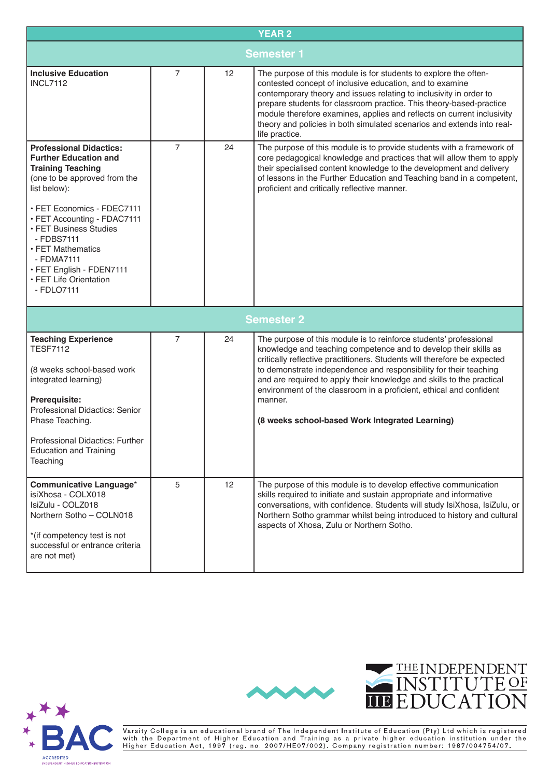| <b>YEAR 2</b>                                                                                                                                                                                                                                                                                                                                          |                |    |                                                                                                                                                                                                                                                                                                                                                                                                                                                                                                      |
|--------------------------------------------------------------------------------------------------------------------------------------------------------------------------------------------------------------------------------------------------------------------------------------------------------------------------------------------------------|----------------|----|------------------------------------------------------------------------------------------------------------------------------------------------------------------------------------------------------------------------------------------------------------------------------------------------------------------------------------------------------------------------------------------------------------------------------------------------------------------------------------------------------|
| <b>Semester 1</b>                                                                                                                                                                                                                                                                                                                                      |                |    |                                                                                                                                                                                                                                                                                                                                                                                                                                                                                                      |
| <b>Inclusive Education</b><br><b>INCL7112</b>                                                                                                                                                                                                                                                                                                          | 7              | 12 | The purpose of this module is for students to explore the often-<br>contested concept of inclusive education, and to examine<br>contemporary theory and issues relating to inclusivity in order to<br>prepare students for classroom practice. This theory-based-practice<br>module therefore examines, applies and reflects on current inclusivity<br>theory and policies in both simulated scenarios and extends into real-<br>life practice.                                                      |
| <b>Professional Didactics:</b><br><b>Further Education and</b><br><b>Training Teaching</b><br>(one to be approved from the<br>list below):<br>• FET Economics - FDEC7111<br>• FET Accounting - FDAC7111<br>• FET Business Studies<br>- FDBS7111<br>• FET Mathematics<br>- FDMA7111<br>• FET English - FDEN7111<br>· FET Life Orientation<br>- FDLO7111 | $\overline{7}$ | 24 | The purpose of this module is to provide students with a framework of<br>core pedagogical knowledge and practices that will allow them to apply<br>their specialised content knowledge to the development and delivery<br>of lessons in the Further Education and Teaching band in a competent,<br>proficient and critically reflective manner.                                                                                                                                                      |
|                                                                                                                                                                                                                                                                                                                                                        |                |    | <b>Semester 2</b>                                                                                                                                                                                                                                                                                                                                                                                                                                                                                    |
| <b>Teaching Experience</b><br><b>TESF7112</b><br>(8 weeks school-based work<br>integrated learning)<br>Prerequisite:<br>Professional Didactics: Senior<br>Phase Teaching.<br>Professional Didactics: Further<br><b>Education and Training</b><br>Teaching                                                                                              | 7              | 24 | The purpose of this module is to reinforce students' professional<br>knowledge and teaching competence and to develop their skills as<br>critically reflective practitioners. Students will therefore be expected<br>to demonstrate independence and responsibility for their teaching<br>and are required to apply their knowledge and skills to the practical<br>environment of the classroom in a proficient, ethical and confident<br>manner.<br>(8 weeks school-based Work Integrated Learning) |
| Communicative Language*<br>isiXhosa - COLX018<br>IsiZulu - COLZ018<br>Northern Sotho - COLN018<br>*(if competency test is not<br>successful or entrance criteria<br>are not met)                                                                                                                                                                       | 5              | 12 | The purpose of this module is to develop effective communication<br>skills required to initiate and sustain appropriate and informative<br>conversations, with confidence. Students will study IsiXhosa, IsiZulu, or<br>Northern Sotho grammar whilst being introduced to history and cultural<br>aspects of Xhosa, Zulu or Northern Sotho.                                                                                                                                                          |